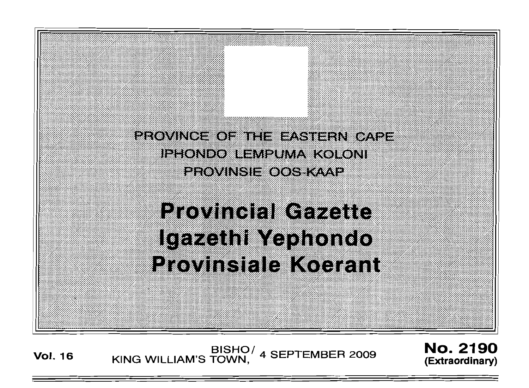

**Vol. 16** BISHO/ KING WILLIAM'S TOWN, 4 SEPTEMBER 2009 No. 2190 **(Extraordinary)**